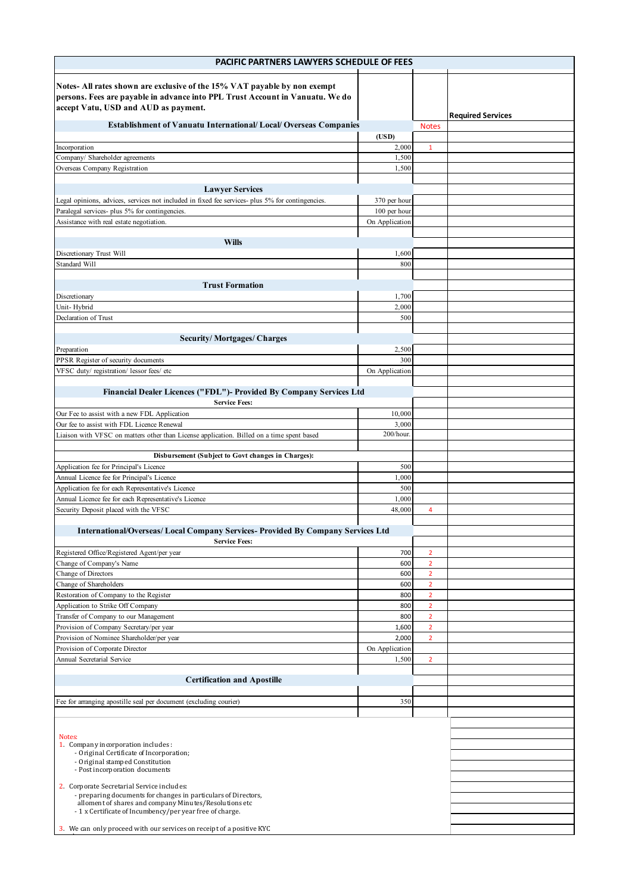| PACIFIC PARTNERS LAWYERS SCHEDULE OF FEES                                                                                                                                                         |                 |                                  |                          |  |  |
|---------------------------------------------------------------------------------------------------------------------------------------------------------------------------------------------------|-----------------|----------------------------------|--------------------------|--|--|
| Notes-All rates shown are exclusive of the 15% VAT payable by non exempt<br>persons. Fees are payable in advance into PPL Trust Account in Vanuatu. We do<br>accept Vatu, USD and AUD as payment. |                 |                                  | <b>Required Services</b> |  |  |
| <b>Establishment of Vanuatu International/Local/Overseas Companies</b>                                                                                                                            |                 | <b>Notes</b>                     |                          |  |  |
|                                                                                                                                                                                                   | (USD)           |                                  |                          |  |  |
| Incorporation                                                                                                                                                                                     | 2,000           | $\mathbf{1}$                     |                          |  |  |
| Company/ Shareholder agreements<br>Overseas Company Registration                                                                                                                                  | 1,500<br>1,500  |                                  |                          |  |  |
|                                                                                                                                                                                                   |                 |                                  |                          |  |  |
| <b>Lawyer Services</b>                                                                                                                                                                            |                 |                                  |                          |  |  |
| Legal opinions, advices, services not included in fixed fee services- plus 5% for contingencies.                                                                                                  | 370 per hour    |                                  |                          |  |  |
| Paralegal services- plus 5% for contingencies.                                                                                                                                                    | 100 per hour    |                                  |                          |  |  |
| Assistance with real estate negotiation.                                                                                                                                                          | On Application  |                                  |                          |  |  |
| <b>Wills</b>                                                                                                                                                                                      |                 |                                  |                          |  |  |
| Discretionary Trust Will                                                                                                                                                                          | 1,600           |                                  |                          |  |  |
| Standard Will                                                                                                                                                                                     | 800             |                                  |                          |  |  |
|                                                                                                                                                                                                   |                 |                                  |                          |  |  |
| <b>Trust Formation</b><br>Discretionary                                                                                                                                                           | 1,700           |                                  |                          |  |  |
| Unit-Hybrid                                                                                                                                                                                       | 2,000           |                                  |                          |  |  |
| Declaration of Trust                                                                                                                                                                              | 500             |                                  |                          |  |  |
|                                                                                                                                                                                                   |                 |                                  |                          |  |  |
| <b>Security/Mortgages/Charges</b>                                                                                                                                                                 |                 |                                  |                          |  |  |
| Preparation<br>PPSR Register of security documents                                                                                                                                                | 2,500<br>300    |                                  |                          |  |  |
| VFSC duty/registration/lessor fees/etc                                                                                                                                                            | On Application  |                                  |                          |  |  |
|                                                                                                                                                                                                   |                 |                                  |                          |  |  |
| Financial Dealer Licences ("FDL")- Provided By Company Services Ltd                                                                                                                               |                 |                                  |                          |  |  |
| <b>Service Fees:</b>                                                                                                                                                                              |                 |                                  |                          |  |  |
| Our Fee to assist with a new FDL Application<br>Our fee to assist with FDL Licence Renewal                                                                                                        | 10,000<br>3,000 |                                  |                          |  |  |
| Liaison with VFSC on matters other than License application. Billed on a time spent based                                                                                                         | 200/hour.       |                                  |                          |  |  |
|                                                                                                                                                                                                   |                 |                                  |                          |  |  |
| Disbursement (Subject to Govt changes in Charges):                                                                                                                                                |                 |                                  |                          |  |  |
| Application fee for Principal's Licence                                                                                                                                                           | 500             |                                  |                          |  |  |
| Annual Licence fee for Principal's Licence                                                                                                                                                        | 1,000<br>500    |                                  |                          |  |  |
| Application fee for each Representative's Licence<br>Annual Licence fee for each Representative's Licence                                                                                         | 1,000           |                                  |                          |  |  |
| Security Deposit placed with the VFSC                                                                                                                                                             | 48,000          | 4                                |                          |  |  |
|                                                                                                                                                                                                   |                 |                                  |                          |  |  |
| International/Overseas/ Local Company Services- Provided By Company Services Ltd                                                                                                                  |                 |                                  |                          |  |  |
| <b>Service Fees:</b><br>Registered Office/Registered Agent/per year                                                                                                                               | 700             | $\overline{2}$                   |                          |  |  |
| Change of Company's Name                                                                                                                                                                          | 600             | $\overline{2}$                   |                          |  |  |
| Change of Directors                                                                                                                                                                               | 600             | $\overline{2}$                   |                          |  |  |
| Change of Shareholders                                                                                                                                                                            | 600             | $\overline{2}$                   |                          |  |  |
| Restoration of Company to the Register                                                                                                                                                            | 800             | $\overline{2}$                   |                          |  |  |
| Application to Strike Off Company<br>Transfer of Company to our Management                                                                                                                        | 800<br>800      | $\overline{2}$<br>$\overline{2}$ |                          |  |  |
| Provision of Company Secretary/per year                                                                                                                                                           | 1,600           | $\overline{2}$                   |                          |  |  |
| Provision of Nominee Shareholder/per year                                                                                                                                                         | 2,000           | $\overline{2}$                   |                          |  |  |
| Provision of Corporate Director                                                                                                                                                                   | On Application  |                                  |                          |  |  |
| Annual Secretarial Service                                                                                                                                                                        | 1,500           | $\overline{2}$                   |                          |  |  |
| <b>Certification and Apostille</b>                                                                                                                                                                |                 |                                  |                          |  |  |
|                                                                                                                                                                                                   |                 |                                  |                          |  |  |
| Fee for arranging apostille seal per document (excluding courier)                                                                                                                                 | 350             |                                  |                          |  |  |
|                                                                                                                                                                                                   |                 |                                  |                          |  |  |
|                                                                                                                                                                                                   |                 |                                  |                          |  |  |
| Notes:<br>1. Company incorporation includes:                                                                                                                                                      |                 |                                  |                          |  |  |
| - Original Certificate of Incorporation;                                                                                                                                                          |                 |                                  |                          |  |  |
| - Original stamped Constitution<br>- Post incorporation documents                                                                                                                                 |                 |                                  |                          |  |  |
|                                                                                                                                                                                                   |                 |                                  |                          |  |  |
| 2. Corporate Secretarial Service includes:<br>- preparing documents for changes in particulars of Directors,                                                                                      |                 |                                  |                          |  |  |
| alloment of shares and company Minutes/Resolutions etc                                                                                                                                            |                 |                                  |                          |  |  |
| - 1 x Certificate of Incumbency/per year free of charge.                                                                                                                                          |                 |                                  |                          |  |  |
| 3. We can only proceed with our services on receipt of a positive KYC                                                                                                                             |                 |                                  |                          |  |  |
|                                                                                                                                                                                                   |                 |                                  |                          |  |  |